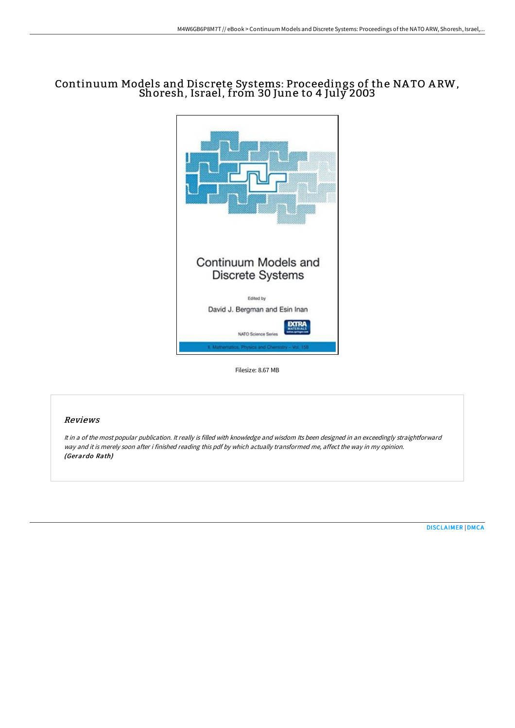# Continuum Models and Discrete Systems: Proceedings of the NA TO A RW, Shoresh, Israel, from 30 June to 4 July 2003



Filesize: 8.67 MB

## Reviews

It in <sup>a</sup> of the most popular publication. It really is filled with knowledge and wisdom Its been designed in an exceedingly straightforward way and it is merely soon after i finished reading this pdf by which actually transformed me, affect the way in my opinion. (Gerardo Rath)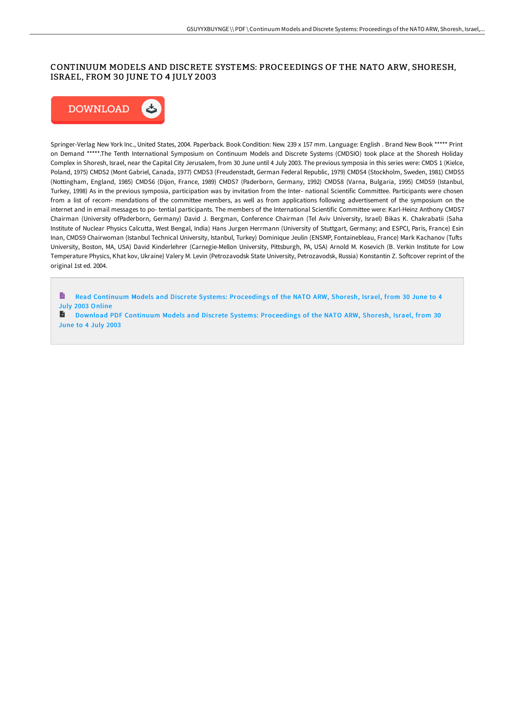### CONTINUUM MODELS AND DISCRETE SYSTEMS: PROCEEDINGS OF THE NATO ARW, SHORESH, ISRAEL, FROM 30 JUNE TO 4 JULY 2003



Springer-Verlag New York Inc., United States, 2004. Paperback. Book Condition: New. 239 x 157 mm. Language: English . Brand New Book \*\*\*\*\* Print on Demand \*\*\*\*\*.The Tenth International Symposium on Continuum Models and Discrete Systems (CMDSIO) took place at the Shoresh Holiday Complex in Shoresh, Israel, near the Capital City Jerusalem, from 30 June until 4 July 2003. The previous symposia in this series were: CMDS 1 (Kielce, Poland, 1975) CMDS2 (Mont Gabriel, Canada, 1977) CMDS3 (Freudenstadt, German Federal Republic, 1979) CMDS4 (Stockholm, Sweden, 1981) CMDS5 (Nottingham, England, 1985) CMDS6 (Dijon, France, 1989) CMDS7 (Paderborn, Germany, 1992) CMDS8 (Varna, Bulgaria, 1995) CMDS9 (Istanbul, Turkey, 1998) As in the previous symposia, participation was by invitation from the Inter- national Scientific Committee. Participants were chosen from a list of recom- mendations of the committee members, as well as from applications following advertisement of the symposium on the internet and in email messages to po- tential participants. The members of the International Scientific Committee were: Karl-Heinz Anthony CMDS7 Chairman (University ofPaderborn, Germany) David J. Bergman, Conference Chairman (Tel Aviv University, Israel) Bikas K. Chakrabatii (Saha Institute of Nuclear Physics Calcutta, West Bengal, India) Hans Jurgen Herrmann (University of Stuttgart, Germany; and ESPCI, Paris, France) Esin Inan, CMDS9 Chairwoman (Istanbul Technical University, Istanbul, Turkey) Dominique Jeulin (ENSMP, Fontainebleau, France) Mark Kachanov (Tufts University, Boston, MA, USA) David Kinderlehrer (Carnegie-Mellon University, Pittsburgh, PA, USA) Arnold M. Kosevich (B. Verkin Institute for Low Temperature Physics, Khat kov, Ukraine) Valery M. Levin (Petrozavodsk State University, Petrozavodsk, Russia) Konstantin Z. Softcover reprint of the original 1st ed. 2004.

Read Continuum Models and Discrete Systems: [Proceedings](http://techno-pub.tech/continuum-models-and-discrete-systems-proceeding.html) of the NATO ARW, Shoresh, Israel, from 30 June to 4 July 2003 Online

B Download PDF Continuum Models and Discrete Systems: [Proceedings](http://techno-pub.tech/continuum-models-and-discrete-systems-proceeding.html) of the NATO ARW, Shoresh, Israel, from 30 June to 4 July 2003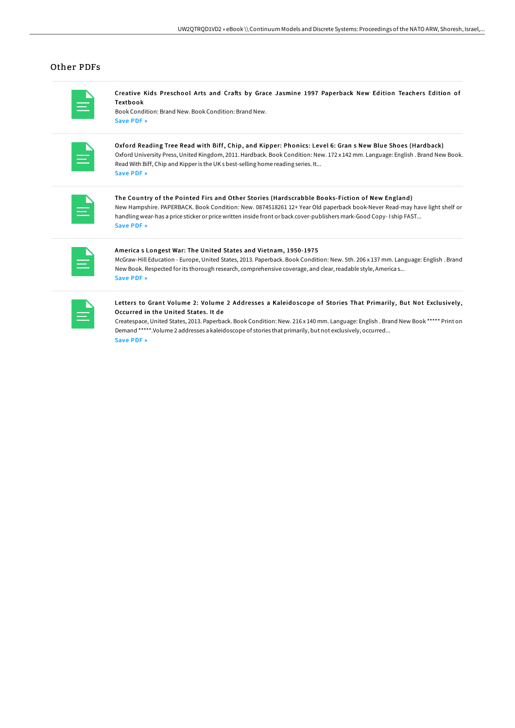### Other PDFs

|  |                                                                                                                         | ۰ |  |
|--|-------------------------------------------------------------------------------------------------------------------------|---|--|
|  | $\mathcal{L}(\mathcal{L})$ and $\mathcal{L}(\mathcal{L})$ and $\mathcal{L}(\mathcal{L})$ and $\mathcal{L}(\mathcal{L})$ |   |  |
|  |                                                                                                                         |   |  |

Creative Kids Preschool Arts and Crafts by Grace Jasmine 1997 Paperback New Edition Teachers Edition of Textbook

Book Condition: Brand New. Book Condition: Brand New. [Save](http://techno-pub.tech/creative-kids-preschool-arts-and-crafts-by-grace.html) PDF »

| _____<br><b>CONTRACTOR</b>        |
|-----------------------------------|
| _______<br><b>Service Service</b> |
|                                   |

Oxford Reading Tree Read with Biff, Chip, and Kipper: Phonics: Level 6: Gran s New Blue Shoes (Hardback) Oxford University Press, United Kingdom, 2011. Hardback. Book Condition: New. 172 x 142 mm. Language: English . Brand New Book. Read With Biff, Chip and Kipperis the UK s best-selling home reading series. It... [Save](http://techno-pub.tech/oxford-reading-tree-read-with-biff-chip-and-kipp-21.html) PDF »

The Country of the Pointed Firs and Other Stories (Hardscrabble Books-Fiction of New England) New Hampshire. PAPERBACK. Book Condition: New. 0874518261 12+ Year Old paperback book-Never Read-may have light shelf or handling wear-has a price sticker or price written inside front or back cover-publishers mark-Good Copy- I ship FAST... [Save](http://techno-pub.tech/the-country-of-the-pointed-firs-and-other-storie.html) PDF »

| <b>Service Service</b><br>__ |  |
|------------------------------|--|
| ______                       |  |

#### America s Longest War: The United States and Vietnam, 1950-1975

McGraw-Hill Education - Europe, United States, 2013. Paperback. Book Condition: New. 5th. 206 x 137 mm. Language: English . Brand New Book. Respected for its thorough research, comprehensive coverage, and clear, readable style, America s... [Save](http://techno-pub.tech/america-s-longest-war-the-united-states-and-viet.html) PDF »

| and the state of the state of the state of the state of the state of the state of the state of the state of th                                                                                                        |  |
|-----------------------------------------------------------------------------------------------------------------------------------------------------------------------------------------------------------------------|--|
| the contract of the contract of the contract of<br>________<br>$\mathcal{L}(\mathcal{L})$ and $\mathcal{L}(\mathcal{L})$ and $\mathcal{L}(\mathcal{L})$ and $\mathcal{L}(\mathcal{L})$ and $\mathcal{L}(\mathcal{L})$ |  |
|                                                                                                                                                                                                                       |  |

#### Letters to Grant Volume 2: Volume 2 Addresses a Kaleidoscope of Stories That Primarily, But Not Exclusively, Occurred in the United States. It de

Createspace, United States, 2013. Paperback. Book Condition: New. 216 x 140 mm. Language: English . Brand New Book \*\*\*\*\* Print on Demand \*\*\*\*\*.Volume 2 addresses a kaleidoscope of stories that primarily, but not exclusively, occurred... [Save](http://techno-pub.tech/letters-to-grant-volume-2-volume-2-addresses-a-k.html) PDF »